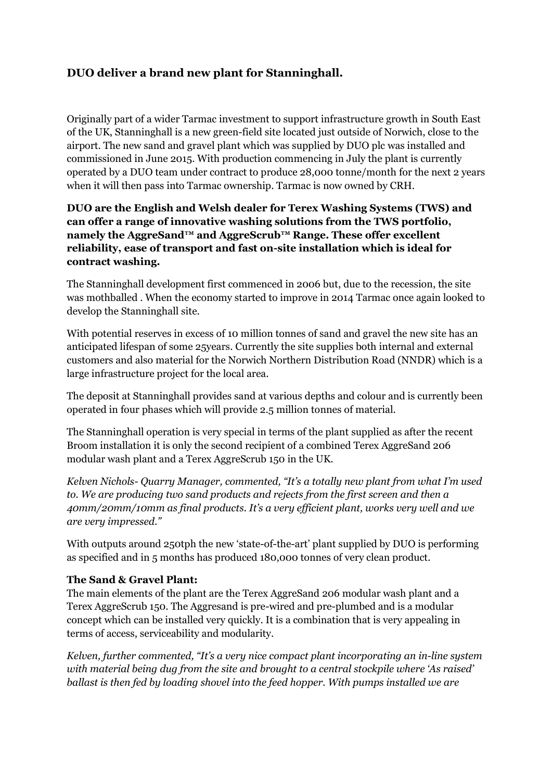# **DUO deliver a brand new plant for Stanninghall.**

Originally part of a wider Tarmac investment to support infrastructure growth in South East of the UK, Stanninghall is a new green-field site located just outside of Norwich, close to the airport. The new sand and gravel plant which was supplied by DUO plc was installed and commissioned in June 2015. With production commencing in July the plant is currently operated by a DUO team under contract to produce 28,000 tonne/month for the next 2 years when it will then pass into Tarmac ownership. Tarmac is now owned by CRH.

#### **DUO are the English and Welsh dealer for Terex Washing Systems (TWS) and can offer a range of innovative washing solutions from the TWS portfolio, namely the AggreSand™ and AggreScrub™ Range. These offer excellent reliability, ease of transport and fast on-site installation which is ideal for contract washing.**

The Stanninghall development first commenced in 2006 but, due to the recession, the site was mothballed . When the economy started to improve in 2014 Tarmac once again looked to develop the Stanninghall site.

With potential reserves in excess of 10 million tonnes of sand and gravel the new site has an anticipated lifespan of some 25years. Currently the site supplies both internal and external customers and also material for the Norwich Northern Distribution Road (NNDR) which is a large infrastructure project for the local area.

The deposit at Stanninghall provides sand at various depths and colour and is currently been operated in four phases which will provide 2.5 million tonnes of material.

The Stanninghall operation is very special in terms of the plant supplied as after the recent Broom installation it is only the second recipient of a combined Terex AggreSand 206 modular wash plant and a Terex AggreScrub 150 in the UK.

*Kelven Nichols- Quarry Manager, commented, "It's a totally new plant from what I'm used to. We are producing two sand products and rejects from the first screen and then a 40mm/20mm/10mm as final products. It's a very efficient plant, works very well and we are very impressed."*

With outputs around 250tph the new 'state-of-the-art' plant supplied by DUO is performing as specified and in 5 months has produced 180,000 tonnes of very clean product.

#### **The Sand & Gravel Plant:**

The main elements of the plant are the Terex AggreSand 206 modular wash plant and a Terex AggreScrub 150. The Aggresand is pre-wired and pre-plumbed and is a modular concept which can be installed very quickly. It is a combination that is very appealing in terms of access, serviceability and modularity.

*Kelven, further commented, "It's a very nice compact plant incorporating an in-line system with material being dug from the site and brought to a central stockpile where 'As raised' ballast is then fed by loading shovel into the feed hopper. With pumps installed we are*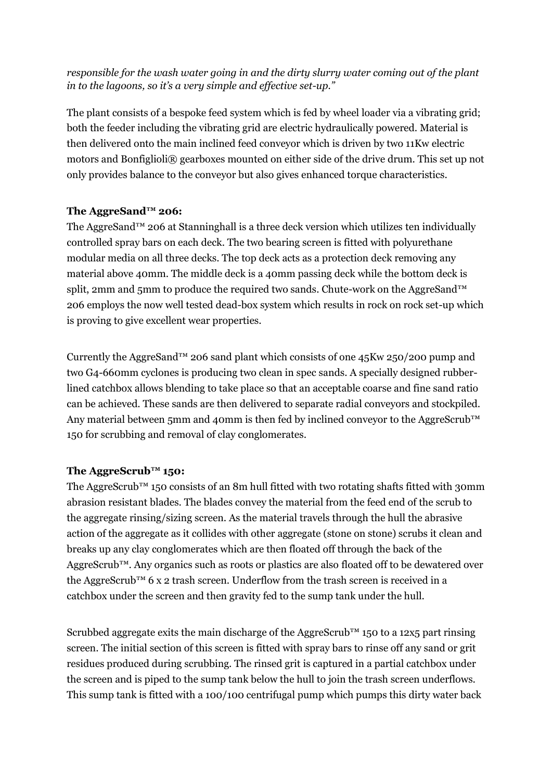## *responsible for the wash water going in and the dirty slurry water coming out of the plant in to the lagoons, so it's a very simple and effective set-up."*

The plant consists of a bespoke feed system which is fed by wheel loader via a vibrating grid; both the feeder including the vibrating grid are electric hydraulically powered. Material is then delivered onto the main inclined feed conveyor which is driven by two 11Kw electric motors and Bonfiglioli® gearboxes mounted on either side of the drive drum. This set up not only provides balance to the conveyor but also gives enhanced torque characteristics.

### **The AggreSand™ 206:**

The AggreSand™ 206 at Stanninghall is a three deck version which utilizes ten individually controlled spray bars on each deck. The two bearing screen is fitted with polyurethane modular media on all three decks. The top deck acts as a protection deck removing any material above 40mm. The middle deck is a 40mm passing deck while the bottom deck is split, 2mm and 5mm to produce the required two sands. Chute-work on the AggreSand™ 206 employs the now well tested dead-box system which results in rock on rock set-up which is proving to give excellent wear properties.

Currently the AggreSand™ 206 sand plant which consists of one 45Kw 250/200 pump and two G4-660mm cyclones is producing two clean in spec sands. A specially designed rubberlined catchbox allows blending to take place so that an acceptable coarse and fine sand ratio can be achieved. These sands are then delivered to separate radial conveyors and stockpiled. Any material between 5mm and 40mm is then fed by inclined conveyor to the AggreScrub™ 150 for scrubbing and removal of clay conglomerates.

### **The AggreScrub™ 150:**

The AggreScrub<sup>™</sup> 150 consists of an 8m hull fitted with two rotating shafts fitted with 30mm abrasion resistant blades. The blades convey the material from the feed end of the scrub to the aggregate rinsing/sizing screen. As the material travels through the hull the abrasive action of the aggregate as it collides with other aggregate (stone on stone) scrubs it clean and breaks up any clay conglomerates which are then floated off through the back of the AggreScrub<sup>™</sup>. Any organics such as roots or plastics are also floated off to be dewatered over the AggreScrub<sup>™</sup> 6 x 2 trash screen. Underflow from the trash screen is received in a catchbox under the screen and then gravity fed to the sump tank under the hull.

Scrubbed aggregate exits the main discharge of the AggreScrub™ 150 to a 12x5 part rinsing screen. The initial section of this screen is fitted with spray bars to rinse off any sand or grit residues produced during scrubbing. The rinsed grit is captured in a partial catchbox under the screen and is piped to the sump tank below the hull to join the trash screen underflows. This sump tank is fitted with a 100/100 centrifugal pump which pumps this dirty water back